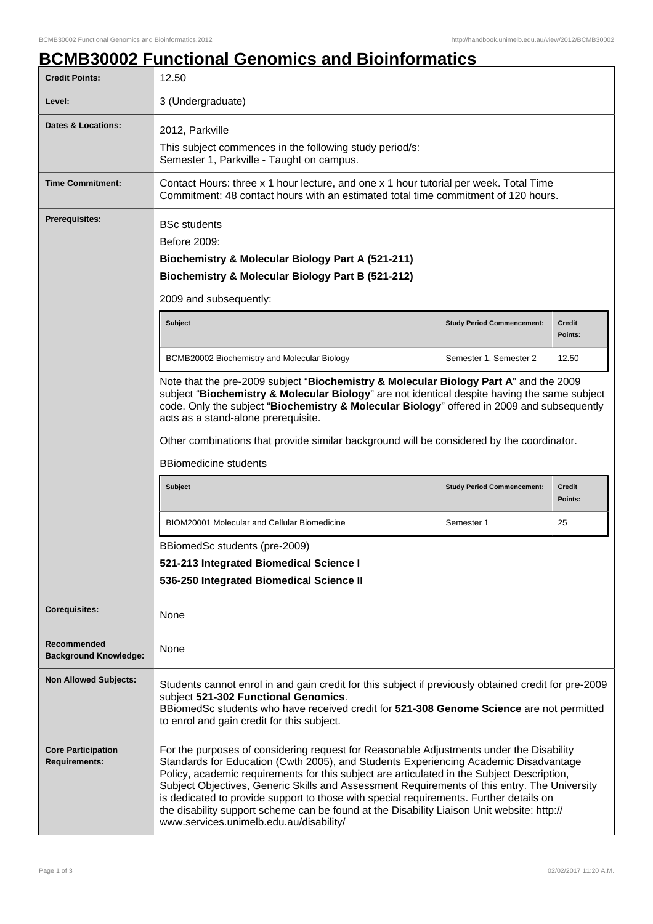## **BCMB30002 Functional Genomics and Bioinformatics**

| <b>Credit Points:</b>                       | 12.50                                                                                                                                                                                                                                                                                                                                                                                                                                                   |                                   |                          |
|---------------------------------------------|---------------------------------------------------------------------------------------------------------------------------------------------------------------------------------------------------------------------------------------------------------------------------------------------------------------------------------------------------------------------------------------------------------------------------------------------------------|-----------------------------------|--------------------------|
| Level:                                      | 3 (Undergraduate)                                                                                                                                                                                                                                                                                                                                                                                                                                       |                                   |                          |
| <b>Dates &amp; Locations:</b>               | 2012, Parkville<br>This subject commences in the following study period/s:<br>Semester 1, Parkville - Taught on campus.                                                                                                                                                                                                                                                                                                                                 |                                   |                          |
| <b>Time Commitment:</b>                     | Contact Hours: three x 1 hour lecture, and one x 1 hour tutorial per week. Total Time<br>Commitment: 48 contact hours with an estimated total time commitment of 120 hours.                                                                                                                                                                                                                                                                             |                                   |                          |
| <b>Prerequisites:</b>                       | <b>BSc students</b><br>Before 2009:<br>Biochemistry & Molecular Biology Part A (521-211)<br>Biochemistry & Molecular Biology Part B (521-212)<br>2009 and subsequently:                                                                                                                                                                                                                                                                                 |                                   |                          |
|                                             | <b>Subject</b>                                                                                                                                                                                                                                                                                                                                                                                                                                          | <b>Study Period Commencement:</b> | Credit<br>Points:        |
|                                             | BCMB20002 Biochemistry and Molecular Biology                                                                                                                                                                                                                                                                                                                                                                                                            | Semester 1, Semester 2            | 12.50                    |
|                                             | Note that the pre-2009 subject "Biochemistry & Molecular Biology Part A" and the 2009<br>subject "Biochemistry & Molecular Biology" are not identical despite having the same subject<br>code. Only the subject "Biochemistry & Molecular Biology" offered in 2009 and subsequently<br>acts as a stand-alone prerequisite.<br>Other combinations that provide similar background will be considered by the coordinator.<br><b>BBiomedicine students</b> |                                   |                          |
|                                             | <b>Subject</b>                                                                                                                                                                                                                                                                                                                                                                                                                                          | <b>Study Period Commencement:</b> | <b>Credit</b><br>Points: |
|                                             | <b>BIOM20001 Molecular and Cellular Biomedicine</b>                                                                                                                                                                                                                                                                                                                                                                                                     | Semester 1                        | 25                       |
|                                             |                                                                                                                                                                                                                                                                                                                                                                                                                                                         |                                   |                          |
|                                             | BBiomedSc students (pre-2009)<br>521-213 Integrated Biomedical Science I<br>536-250 Integrated Biomedical Science II                                                                                                                                                                                                                                                                                                                                    |                                   |                          |
| <b>Corequisites:</b>                        | None                                                                                                                                                                                                                                                                                                                                                                                                                                                    |                                   |                          |
| Recommended<br><b>Background Knowledge:</b> | None                                                                                                                                                                                                                                                                                                                                                                                                                                                    |                                   |                          |
| <b>Non Allowed Subjects:</b>                | Students cannot enrol in and gain credit for this subject if previously obtained credit for pre-2009<br>subject 521-302 Functional Genomics.<br>BBiomedSc students who have received credit for 521-308 Genome Science are not permitted<br>to enrol and gain credit for this subject.                                                                                                                                                                  |                                   |                          |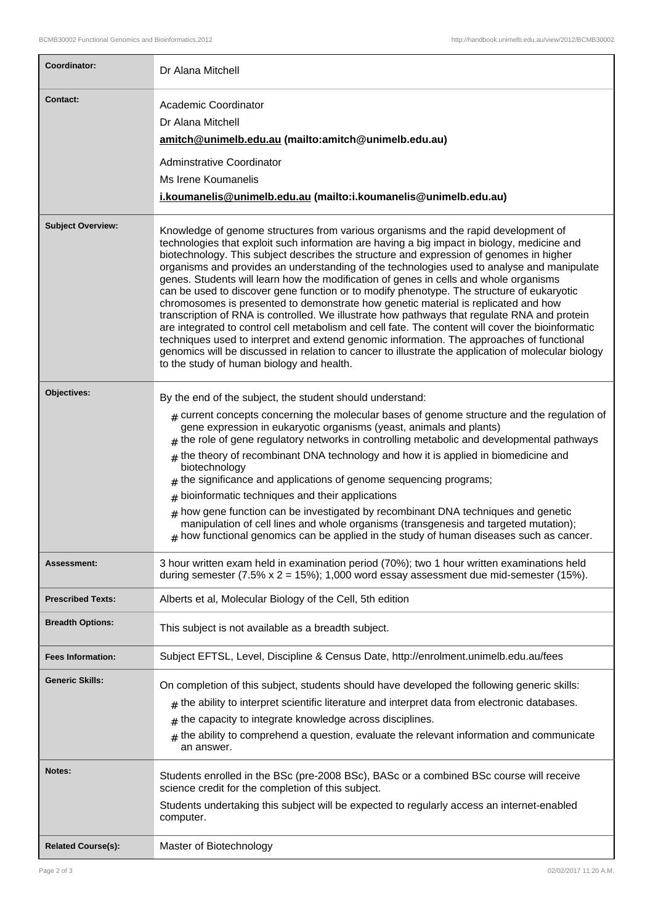| Coordinator:              | Dr Alana Mitchell                                                                                                                                                                                                                                                                                                                                                                                                                                                                                                                                                                                                                                                                                                                                                                                                                                                                                                                                                                                                                                                                                            |
|---------------------------|--------------------------------------------------------------------------------------------------------------------------------------------------------------------------------------------------------------------------------------------------------------------------------------------------------------------------------------------------------------------------------------------------------------------------------------------------------------------------------------------------------------------------------------------------------------------------------------------------------------------------------------------------------------------------------------------------------------------------------------------------------------------------------------------------------------------------------------------------------------------------------------------------------------------------------------------------------------------------------------------------------------------------------------------------------------------------------------------------------------|
| <b>Contact:</b>           | Academic Coordinator<br>Dr Alana Mitchell<br>amitch@unimelb.edu.au (mailto:amitch@unimelb.edu.au)<br><b>Adminstrative Coordinator</b><br>Ms Irene Koumanelis<br>i.koumanelis@unimelb.edu.au (mailto:i.koumanelis@unimelb.edu.au)                                                                                                                                                                                                                                                                                                                                                                                                                                                                                                                                                                                                                                                                                                                                                                                                                                                                             |
| <b>Subject Overview:</b>  | Knowledge of genome structures from various organisms and the rapid development of<br>technologies that exploit such information are having a big impact in biology, medicine and<br>biotechnology. This subject describes the structure and expression of genomes in higher<br>organisms and provides an understanding of the technologies used to analyse and manipulate<br>genes. Students will learn how the modification of genes in cells and whole organisms<br>can be used to discover gene function or to modify phenotype. The structure of eukaryotic<br>chromosomes is presented to demonstrate how genetic material is replicated and how<br>transcription of RNA is controlled. We illustrate how pathways that regulate RNA and protein<br>are integrated to control cell metabolism and cell fate. The content will cover the bioinformatic<br>techniques used to interpret and extend genomic information. The approaches of functional<br>genomics will be discussed in relation to cancer to illustrate the application of molecular biology<br>to the study of human biology and health. |
| Objectives:               | By the end of the subject, the student should understand:<br>$#$ current concepts concerning the molecular bases of genome structure and the regulation of<br>gene expression in eukaryotic organisms (yeast, animals and plants)<br>the role of gene regulatory networks in controlling metabolic and developmental pathways<br>$#$ the theory of recombinant DNA technology and how it is applied in biomedicine and<br>biotechnology<br>the significance and applications of genome sequencing programs;<br>#<br>bioinformatic techniques and their applications<br>#<br>how gene function can be investigated by recombinant DNA techniques and genetic<br>#<br>manipulation of cell lines and whole organisms (transgenesis and targeted mutation);<br>how functional genomics can be applied in the study of human diseases such as cancer.                                                                                                                                                                                                                                                            |
| Assessment:               | 3 hour written exam held in examination period (70%); two 1 hour written examinations held<br>during semester $(7.5\% \times 2 = 15\%)$ ; 1,000 word essay assessment due mid-semester (15%).                                                                                                                                                                                                                                                                                                                                                                                                                                                                                                                                                                                                                                                                                                                                                                                                                                                                                                                |
| <b>Prescribed Texts:</b>  | Alberts et al, Molecular Biology of the Cell, 5th edition                                                                                                                                                                                                                                                                                                                                                                                                                                                                                                                                                                                                                                                                                                                                                                                                                                                                                                                                                                                                                                                    |
| <b>Breadth Options:</b>   | This subject is not available as a breadth subject.                                                                                                                                                                                                                                                                                                                                                                                                                                                                                                                                                                                                                                                                                                                                                                                                                                                                                                                                                                                                                                                          |
| <b>Fees Information:</b>  | Subject EFTSL, Level, Discipline & Census Date, http://enrolment.unimelb.edu.au/fees                                                                                                                                                                                                                                                                                                                                                                                                                                                                                                                                                                                                                                                                                                                                                                                                                                                                                                                                                                                                                         |
| <b>Generic Skills:</b>    | On completion of this subject, students should have developed the following generic skills:<br>$_{\#}$ the ability to interpret scientific literature and interpret data from electronic databases.<br>the capacity to integrate knowledge across disciplines.<br>#<br>the ability to comprehend a question, evaluate the relevant information and communicate<br>$\pm$<br>an answer.                                                                                                                                                                                                                                                                                                                                                                                                                                                                                                                                                                                                                                                                                                                        |
| Notes:                    | Students enrolled in the BSc (pre-2008 BSc), BASc or a combined BSc course will receive<br>science credit for the completion of this subject.<br>Students undertaking this subject will be expected to regularly access an internet-enabled<br>computer.                                                                                                                                                                                                                                                                                                                                                                                                                                                                                                                                                                                                                                                                                                                                                                                                                                                     |
| <b>Related Course(s):</b> | Master of Biotechnology                                                                                                                                                                                                                                                                                                                                                                                                                                                                                                                                                                                                                                                                                                                                                                                                                                                                                                                                                                                                                                                                                      |